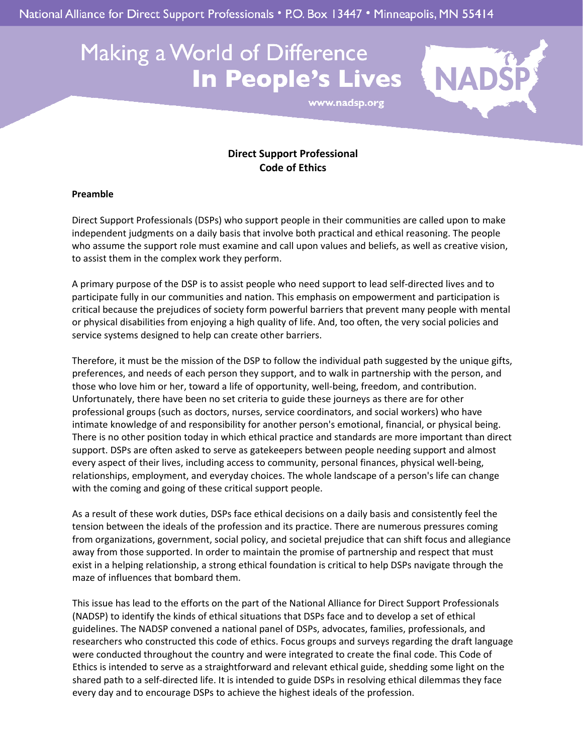National Alliance for Direct Support Professionals • P.O. Box 13447 • Minneapolis, MN 55414

## Making a World of Difference **In People's Lives**



www.nadsp.org

## **Direct Support Professional Code of Ethics**

## **Preamble**

Direct Support Professionals (DSPs) who support people in their communities are called upon to make independent judgments on a daily basis that involve both practical and ethical reasoning. The people who assume the support role must examine and call upon values and beliefs, as well as creative vision, to assist them in the complex work they perform.

A primary purpose of the DSP is to assist people who need support to lead self‐directed lives and to participate fully in our communities and nation. This emphasis on empowerment and participation is critical because the prejudices of society form powerful barriers that prevent many people with mental or physical disabilities from enjoying a high quality of life. And, too often, the very social policies and service systems designed to help can create other barriers.

Therefore, it must be the mission of the DSP to follow the individual path suggested by the unique gifts, preferences, and needs of each person they support, and to walk in partnership with the person, and those who love him or her, toward a life of opportunity, well-being, freedom, and contribution. Unfortunately, there have been no set criteria to guide these journeys as there are for other professional groups (such as doctors, nurses, service coordinators, and social workers) who have intimate knowledge of and responsibility for another person's emotional, financial, or physical being. There is no other position today in which ethical practice and standards are more important than direct support. DSPs are often asked to serve as gatekeepers between people needing support and almost every aspect of their lives, including access to community, personal finances, physical well-being, relationships, employment, and everyday choices. The whole landscape of a person's life can change with the coming and going of these critical support people.

As a result of these work duties, DSPs face ethical decisions on a daily basis and consistently feel the tension between the ideals of the profession and its practice. There are numerous pressures coming from organizations, government, social policy, and societal prejudice that can shift focus and allegiance away from those supported. In order to maintain the promise of partnership and respect that must exist in a helping relationship, a strong ethical foundation is critical to help DSPs navigate through the maze of influences that bombard them.

This issue has lead to the efforts on the part of the National Alliance for Direct Support Professionals (NADSP) to identify the kinds of ethical situations that DSPs face and to develop a set of ethical guidelines. The NADSP convened a national panel of DSPs, advocates, families, professionals, and researchers who constructed this code of ethics. Focus groups and surveys regarding the draft language were conducted throughout the country and were integrated to create the final code. This Code of Ethics is intended to serve as a straightforward and relevant ethical guide, shedding some light on the shared path to a self-directed life. It is intended to guide DSPs in resolving ethical dilemmas they face every day and to encourage DSPs to achieve the highest ideals of the profession.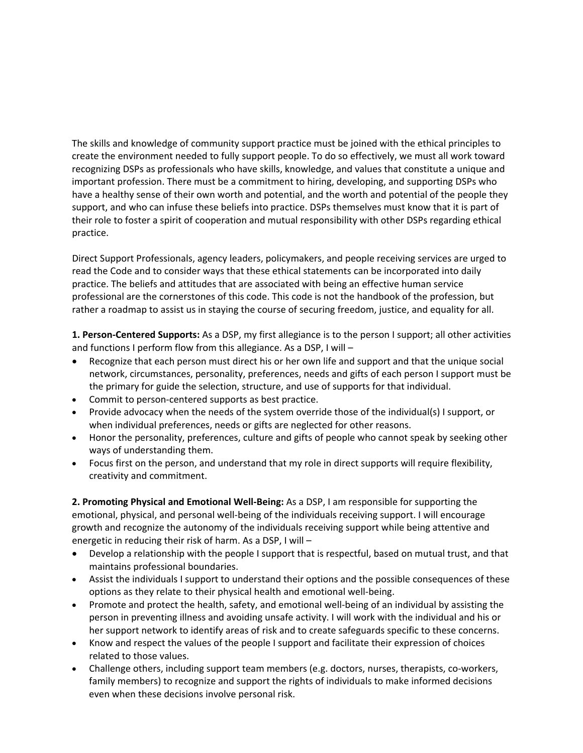The skills and knowledge of community support practice must be joined with the ethical principles to create the environment needed to fully support people. To do so effectively, we must all work toward recognizing DSPs as professionals who have skills, knowledge, and values that constitute a unique and important profession. There must be a commitment to hiring, developing, and supporting DSPs who have a healthy sense of their own worth and potential, and the worth and potential of the people they support, and who can infuse these beliefs into practice. DSPs themselves must know that it is part of their role to foster a spirit of cooperation and mutual responsibility with other DSPs regarding ethical practice.

Direct Support Professionals, agency leaders, policymakers, and people receiving services are urged to read the Code and to consider ways that these ethical statements can be incorporated into daily practice. The beliefs and attitudes that are associated with being an effective human service professional are the cornerstones of this code. This code is not the handbook of the profession, but rather a roadmap to assist us in staying the course of securing freedom, justice, and equality for all.

**1. Person‐Centered Supports:** As a DSP, my first allegiance is to the person I support; all other activities and functions I perform flow from this allegiance. As a DSP, I will –

- Recognize that each person must direct his or her own life and support and that the unique social network, circumstances, personality, preferences, needs and gifts of each person I support must be the primary for guide the selection, structure, and use of supports for that individual.
- Commit to person-centered supports as best practice.
- Provide advocacy when the needs of the system override those of the individual(s) I support, or when individual preferences, needs or gifts are neglected for other reasons.
- Honor the personality, preferences, culture and gifts of people who cannot speak by seeking other ways of understanding them.
- Focus first on the person, and understand that my role in direct supports will require flexibility, creativity and commitment.

**2. Promoting Physical and Emotional Well‐Being:** As a DSP, I am responsible for supporting the emotional, physical, and personal well‐being of the individuals receiving support. I will encourage growth and recognize the autonomy of the individuals receiving support while being attentive and energetic in reducing their risk of harm. As a DSP, I will –

- Develop a relationship with the people I support that is respectful, based on mutual trust, and that maintains professional boundaries.
- Assist the individuals I support to understand their options and the possible consequences of these options as they relate to their physical health and emotional well‐being.
- Promote and protect the health, safety, and emotional well-being of an individual by assisting the person in preventing illness and avoiding unsafe activity. I will work with the individual and his or her support network to identify areas of risk and to create safeguards specific to these concerns.
- Know and respect the values of the people I support and facilitate their expression of choices related to those values.
- Challenge others, including support team members (e.g. doctors, nurses, therapists, co-workers, family members) to recognize and support the rights of individuals to make informed decisions even when these decisions involve personal risk.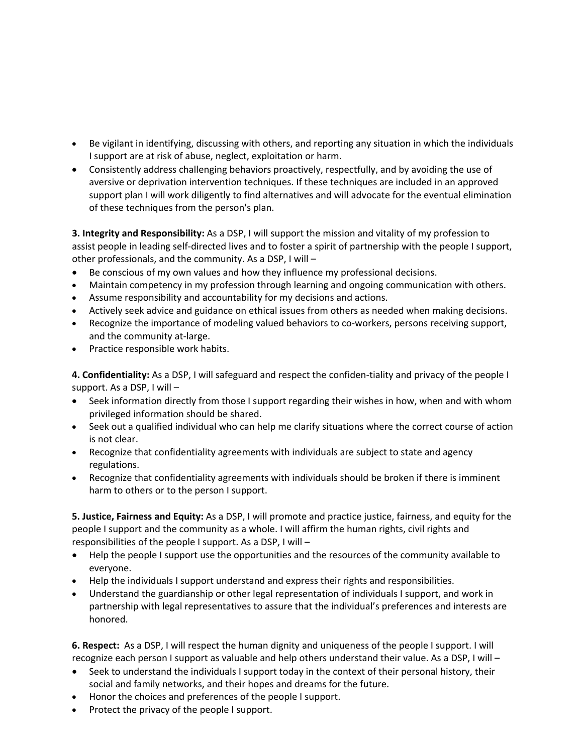- Be vigilant in identifying, discussing with others, and reporting any situation in which the individuals I support are at risk of abuse, neglect, exploitation or harm.
- Consistently address challenging behaviors proactively, respectfully, and by avoiding the use of aversive or deprivation intervention techniques. If these techniques are included in an approved support plan I will work diligently to find alternatives and will advocate for the eventual elimination of these techniques from the person's plan.

**3. Integrity and Responsibility:** As a DSP, I will support the mission and vitality of my profession to assist people in leading self‐directed lives and to foster a spirit of partnership with the people I support, other professionals, and the community. As a DSP, I will –

- Be conscious of my own values and how they influence my professional decisions.
- Maintain competency in my profession through learning and ongoing communication with others.
- Assume responsibility and accountability for my decisions and actions.
- Actively seek advice and guidance on ethical issues from others as needed when making decisions.
- Recognize the importance of modeling valued behaviors to co-workers, persons receiving support, and the community at‐large.
- Practice responsible work habits.

**4. Confidentiality:** As a DSP, I will safeguard and respect the confiden‐tiality and privacy of the people I support. As a DSP, I will –

- Seek information directly from those I support regarding their wishes in how, when and with whom privileged information should be shared.
- Seek out a qualified individual who can help me clarify situations where the correct course of action is not clear.
- Recognize that confidentiality agreements with individuals are subject to state and agency regulations.
- Recognize that confidentiality agreements with individuals should be broken if there is imminent harm to others or to the person I support.

**5. Justice, Fairness and Equity:** As a DSP, I will promote and practice justice, fairness, and equity for the people I support and the community as a whole. I will affirm the human rights, civil rights and responsibilities of the people I support. As a DSP, I will –

- Help the people I support use the opportunities and the resources of the community available to everyone.
- Help the individuals I support understand and express their rights and responsibilities.
- Understand the guardianship or other legal representation of individuals I support, and work in partnership with legal representatives to assure that the individual's preferences and interests are honored.

**6. Respect:** As a DSP, I will respect the human dignity and uniqueness of the people I support. I will recognize each person I support as valuable and help others understand their value. As a DSP, I will –

- Seek to understand the individuals I support today in the context of their personal history, their social and family networks, and their hopes and dreams for the future.
- Honor the choices and preferences of the people I support.
- Protect the privacy of the people I support.